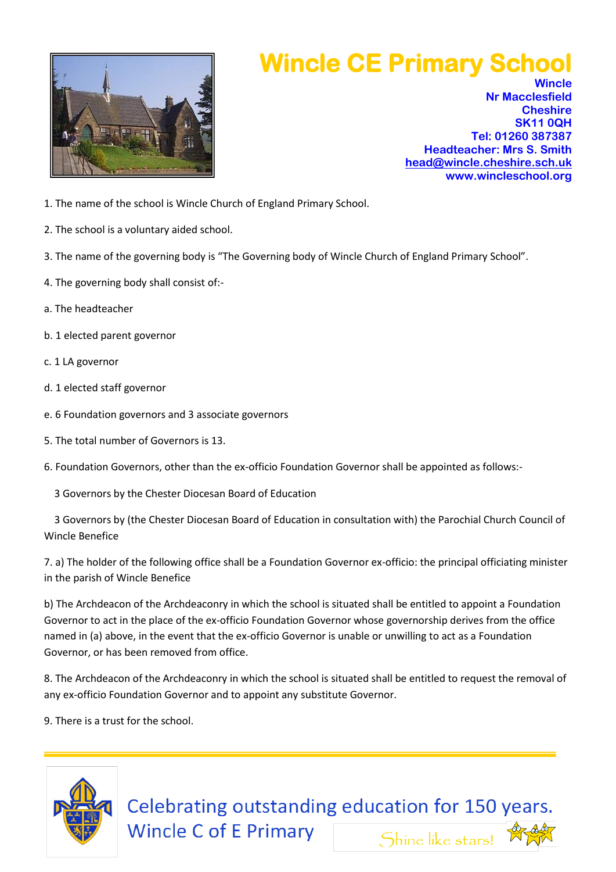

## **Wincle CE Primary School**

**Wincle Nr Macclesfield Cheshire SK11 0QH Tel: 01260 387387 Headteacher: Mrs S. Smith [head@wincle.cheshire.sch.uk](mailto:head@wincle.cheshire.sch.uk) www.wincleschool.org**

- 1. The name of the school is Wincle Church of England Primary School.
- 2. The school is a voluntary aided school.
- 3. The name of the governing body is "The Governing body of Wincle Church of England Primary School".
- 4. The governing body shall consist of:-
- a. The headteacher
- b. 1 elected parent governor
- c. 1 LA governor
- d. 1 elected staff governor
- e. 6 Foundation governors and 3 associate governors
- 5. The total number of Governors is 13.
- 6. Foundation Governors, other than the ex-officio Foundation Governor shall be appointed as follows:-
	- 3 Governors by the Chester Diocesan Board of Education

 3 Governors by (the Chester Diocesan Board of Education in consultation with) the Parochial Church Council of Wincle Benefice

7. a) The holder of the following office shall be a Foundation Governor ex-officio: the principal officiating minister in the parish of Wincle Benefice

b) The Archdeacon of the Archdeaconry in which the school is situated shall be entitled to appoint a Foundation Governor to act in the place of the ex-officio Foundation Governor whose governorship derives from the office named in (a) above, in the event that the ex-officio Governor is unable or unwilling to act as a Foundation Governor, or has been removed from office.

8. The Archdeacon of the Archdeaconry in which the school is situated shall be entitled to request the removal of any ex-officio Foundation Governor and to appoint any substitute Governor.

9. There is a trust for the school.



Celebrating outstanding education for 150 years. **Wincle C of E Primary** Shine like stars!